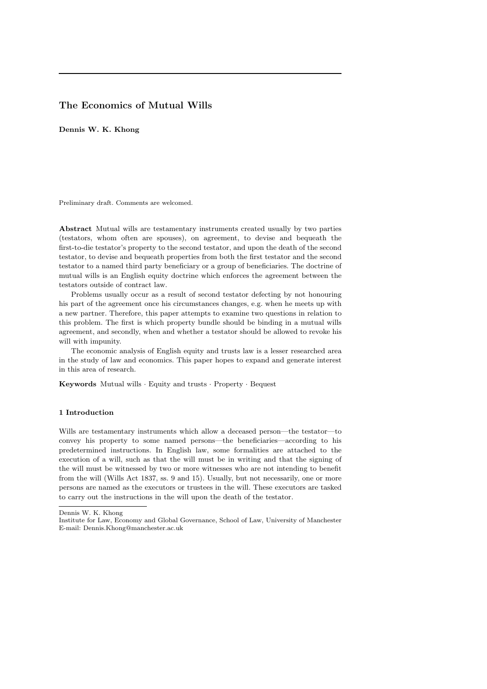# The Economics of Mutual Wills

Dennis W. K. Khong

Preliminary draft. Comments are welcomed.

Abstract Mutual wills are testamentary instruments created usually by two parties (testators, whom often are spouses), on agreement, to devise and bequeath the first-to-die testator's property to the second testator, and upon the death of the second testator, to devise and bequeath properties from both the first testator and the second testator to a named third party beneficiary or a group of beneficiaries. The doctrine of mutual wills is an English equity doctrine which enforces the agreement between the testators outside of contract law.

Problems usually occur as a result of second testator defecting by not honouring his part of the agreement once his circumstances changes, e.g. when he meets up with a new partner. Therefore, this paper attempts to examine two questions in relation to this problem. The first is which property bundle should be binding in a mutual wills agreement, and secondly, when and whether a testator should be allowed to revoke his will with impunity.

The economic analysis of English equity and trusts law is a lesser researched area in the study of law and economics. This paper hopes to expand and generate interest in this area of research.

Keywords Mutual wills · Equity and trusts · Property · Bequest

### 1 Introduction

Wills are testamentary instruments which allow a deceased person—the testator—to convey his property to some named persons—the beneficiaries—according to his predetermined instructions. In English law, some formalities are attached to the execution of a will, such as that the will must be in writing and that the signing of the will must be witnessed by two or more witnesses who are not intending to benefit from the will (Wills Act 1837, ss. 9 and 15). Usually, but not necessarily, one or more persons are named as the executors or trustees in the will. These executors are tasked to carry out the instructions in the will upon the death of the testator.

Dennis W. K. Khong

Institute for Law, Economy and Global Governance, School of Law, University of Manchester E-mail: Dennis.Khong@manchester.ac.uk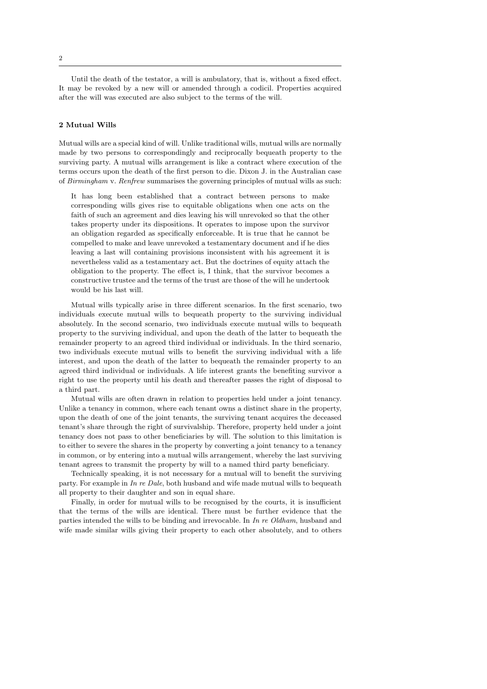Until the death of the testator, a will is ambulatory, that is, without a fixed effect. It may be revoked by a new will or amended through a codicil. Properties acquired after the will was executed are also subject to the terms of the will.

## 2 Mutual Wills

Mutual wills are a special kind of will. Unlike traditional wills, mutual wills are normally made by two persons to correspondingly and reciprocally bequeath property to the surviving party. A mutual wills arrangement is like a contract where execution of the terms occurs upon the death of the first person to die. Dixon J. in the Australian case of Birmingham v. Renfrew summarises the governing principles of mutual wills as such:

It has long been established that a contract between persons to make corresponding wills gives rise to equitable obligations when one acts on the faith of such an agreement and dies leaving his will unrevoked so that the other takes property under its dispositions. It operates to impose upon the survivor an obligation regarded as specifically enforceable. It is true that he cannot be compelled to make and leave unrevoked a testamentary document and if he dies leaving a last will containing provisions inconsistent with his agreement it is nevertheless valid as a testamentary act. But the doctrines of equity attach the obligation to the property. The effect is, I think, that the survivor becomes a constructive trustee and the terms of the trust are those of the will he undertook would be his last will.

Mutual wills typically arise in three different scenarios. In the first scenario, two individuals execute mutual wills to bequeath property to the surviving individual absolutely. In the second scenario, two individuals execute mutual wills to bequeath property to the surviving individual, and upon the death of the latter to bequeath the remainder property to an agreed third individual or individuals. In the third scenario, two individuals execute mutual wills to benefit the surviving individual with a life interest, and upon the death of the latter to bequeath the remainder property to an agreed third individual or individuals. A life interest grants the benefiting survivor a right to use the property until his death and thereafter passes the right of disposal to a third part.

Mutual wills are often drawn in relation to properties held under a joint tenancy. Unlike a tenancy in common, where each tenant owns a distinct share in the property, upon the death of one of the joint tenants, the surviving tenant acquires the deceased tenant's share through the right of survivalship. Therefore, property held under a joint tenancy does not pass to other beneficiaries by will. The solution to this limitation is to either to severe the shares in the property by converting a joint tenancy to a tenancy in common, or by entering into a mutual wills arrangement, whereby the last surviving tenant agrees to transmit the property by will to a named third party beneficiary.

Technically speaking, it is not necessary for a mutual will to benefit the surviving party. For example in In re Dale, both husband and wife made mutual wills to bequeath all property to their daughter and son in equal share.

Finally, in order for mutual wills to be recognised by the courts, it is insufficient that the terms of the wills are identical. There must be further evidence that the parties intended the wills to be binding and irrevocable. In In re Oldham, husband and wife made similar wills giving their property to each other absolutely, and to others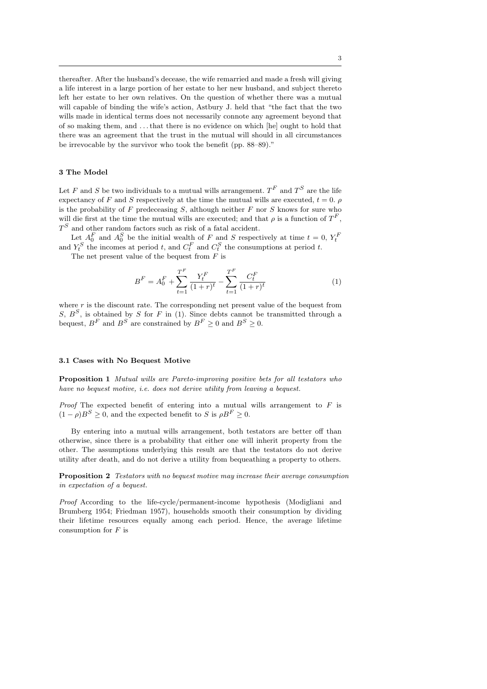thereafter. After the husband's decease, the wife remarried and made a fresh will giving a life interest in a large portion of her estate to her new husband, and subject thereto left her estate to her own relatives. On the question of whether there was a mutual will capable of binding the wife's action, Astbury J. held that "the fact that the two wills made in identical terms does not necessarily connote any agreement beyond that of so making them, and . . . that there is no evidence on which [he] ought to hold that there was an agreement that the trust in the mutual will should in all circumstances be irrevocable by the survivor who took the benefit (pp. 88–89)."

## 3 The Model

Let F and S be two individuals to a mutual wills arrangement.  $T^F$  and  $T^S$  are the life expectancy of F and S respectively at the time the mutual wills are executed,  $t = 0$ . is the probability of  $F$  predeceasing  $S$ , although neither  $F$  nor  $S$  knows for sure who will die first at the time the mutual wills are executed; and that  $\rho$  is a function of  $T^F$ ,  $T<sup>S</sup>$  and other random factors such as risk of a fatal accident.

Let  $A_0^F$  and  $A_0^S$  be the initial wealth of F and S respectively at time  $t = 0$ ,  $Y_t^F$  and  $Y_t^S$  the incomes at period t, and  $C_t^F$  and  $C_t^S$  the consumptions at period t.

The net present value of the bequest from  $F$  is

$$
B^{F} = A_0^{F} + \sum_{t=1}^{T^{F}} \frac{Y_t^{F}}{(1+r)^t} - \sum_{t=1}^{T^{F}} \frac{C_t^{F}}{(1+r)^t}
$$
(1)

where  $r$  is the discount rate. The corresponding net present value of the bequest from S,  $B^S$ , is obtained by S for F in (1). Since debts cannot be transmitted through a bequest,  $B^F$  and  $B^S$  are constrained by  $B^F \geq 0$  and  $B^S \geq 0$ .

### 3.1 Cases with No Bequest Motive

Proposition 1 Mutual wills are Pareto-improving positive bets for all testators who have no bequest motive, i.e. does not derive utility from leaving a bequest.

*Proof* The expected benefit of entering into a mutual wills arrangement to  $F$  is  $(1 - \rho)B^{S} \geq 0$ , and the expected benefit to S is  $\rho B^{F} \geq 0$ .

By entering into a mutual wills arrangement, both testators are better off than otherwise, since there is a probability that either one will inherit property from the other. The assumptions underlying this result are that the testators do not derive utility after death, and do not derive a utility from bequeathing a property to others.

Proposition 2 Testators with no bequest motive may increase their average consumption in expectation of a bequest.

Proof According to the life-cycle/permanent-income hypothesis (Modigliani and Brumberg 1954; Friedman 1957), households smooth their consumption by dividing their lifetime resources equally among each period. Hence, the average lifetime consumption for  $F$  is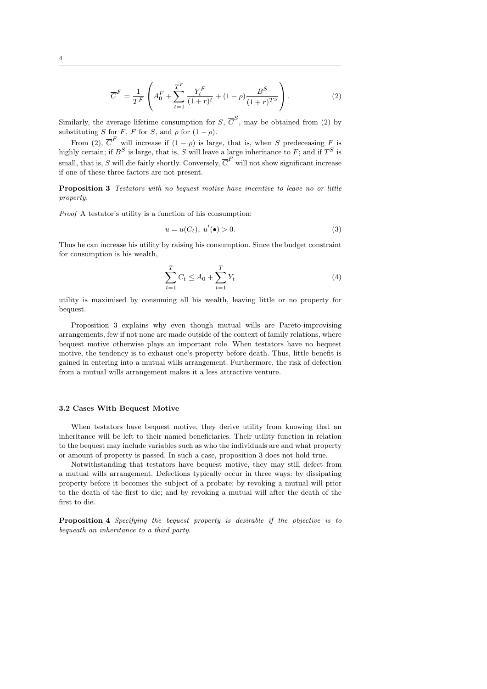$$
\overline{C}^{F} = \frac{1}{T^{F}} \left( A_{0}^{F} + \sum_{t=1}^{T^{F}} \frac{Y_{t}^{F}}{(1+r)^{t}} + (1-\rho) \frac{B^{S}}{(1+r)^{T^{S}}} \right). \tag{2}
$$

Similarly, the average lifetime consumption for  $S, \overline{C}^S$ , may be obtained from (2) by substituting S for F, F for S, and  $\rho$  for  $(1 - \rho)$ .

From (2),  $\overline{C}^F$  will increase if  $(1 - \rho)$  is large, that is, when S predeceasing F is highly certain; if  $B^S$  is large, that is, S will leave a large inheritance to F; and if  $T^S$  is small, that is, S will die fairly shortly. Conversely,  $\overline{C}^F$  will not show significant increase if one of these three factors are not present.

Proposition 3 Testators with no bequest motive have incentive to leave no or little property.

Proof A testator's utility is a function of his consumption:

$$
u = u(C_t), \ u'(\bullet) > 0. \tag{3}
$$

Thus he can increase his utility by raising his consumption. Since the budget constraint for consumption is his wealth,

$$
\sum_{t=1}^{T} C_t \le A_0 + \sum_{t=1}^{T} Y_t
$$
\n(4)

utility is maximised by consuming all his wealth, leaving little or no property for bequest.

Proposition 3 explains why even though mutual wills are Pareto-improvising arrangements, few if not none are made outside of the context of family relations, where bequest motive otherwise plays an important role. When testators have no bequest motive, the tendency is to exhaust one's property before death. Thus, little benefit is gained in entering into a mutual wills arrangement. Furthermore, the risk of defection from a mutual wills arrangement makes it a less attractive venture.

## 3.2 Cases With Bequest Motive

When testators have bequest motive, they derive utility from knowing that an inheritance will be left to their named beneficiaries. Their utility function in relation to the bequest may include variables such as who the individuals are and what property or amount of property is passed. In such a case, proposition 3 does not hold true.

Notwithstanding that testators have bequest motive, they may still defect from a mutual wills arrangement. Defections typically occur in three ways: by dissipating property before it becomes the subject of a probate; by revoking a mutual will prior to the death of the first to die; and by revoking a mutual will after the death of the first to die.

Proposition 4 Specifying the bequest property is desirable if the objective is to bequeath an inheritance to a third party.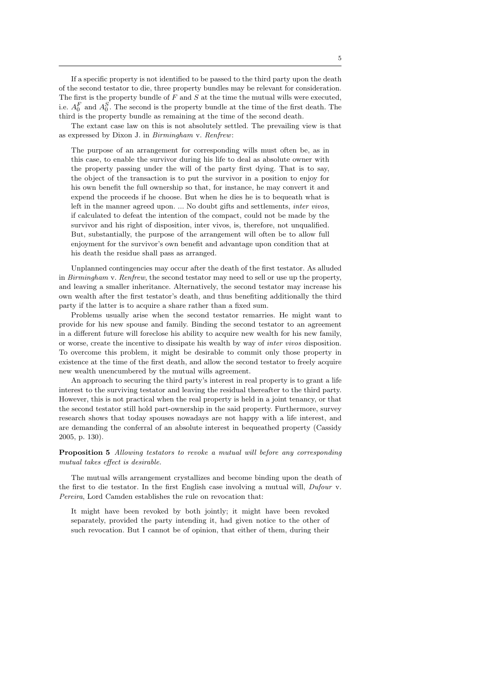If a specific property is not identified to be passed to the third party upon the death of the second testator to die, three property bundles may be relevant for consideration. The first is the property bundle of  $F$  and  $S$  at the time the mutual wills were executed, i.e.  $A_0^F$  and  $A_0^S$ . The second is the property bundle at the time of the first death. The third is the property bundle as remaining at the time of the second death.

The extant case law on this is not absolutely settled. The prevailing view is that as expressed by Dixon J. in Birmingham v. Renfrew:

The purpose of an arrangement for corresponding wills must often be, as in this case, to enable the survivor during his life to deal as absolute owner with the property passing under the will of the party first dying. That is to say, the object of the transaction is to put the survivor in a position to enjoy for his own benefit the full ownership so that, for instance, he may convert it and expend the proceeds if he choose. But when he dies he is to bequeath what is left in the manner agreed upon. ... No doubt gifts and settlements, inter vivos, if calculated to defeat the intention of the compact, could not be made by the survivor and his right of disposition, inter vivos, is, therefore, not unqualified. But, substantially, the purpose of the arrangement will often be to allow full enjoyment for the survivor's own benefit and advantage upon condition that at his death the residue shall pass as arranged.

Unplanned contingencies may occur after the death of the first testator. As alluded in Birmingham v. Renfrew, the second testator may need to sell or use up the property, and leaving a smaller inheritance. Alternatively, the second testator may increase his own wealth after the first testator's death, and thus benefiting additionally the third party if the latter is to acquire a share rather than a fixed sum.

Problems usually arise when the second testator remarries. He might want to provide for his new spouse and family. Binding the second testator to an agreement in a different future will foreclose his ability to acquire new wealth for his new family, or worse, create the incentive to dissipate his wealth by way of inter vivos disposition. To overcome this problem, it might be desirable to commit only those property in existence at the time of the first death, and allow the second testator to freely acquire new wealth unencumbered by the mutual wills agreement.

An approach to securing the third party's interest in real property is to grant a life interest to the surviving testator and leaving the residual thereafter to the third party. However, this is not practical when the real property is held in a joint tenancy, or that the second testator still hold part-ownership in the said property. Furthermore, survey research shows that today spouses nowadays are not happy with a life interest, and are demanding the conferral of an absolute interest in bequeathed property (Cassidy 2005, p. 130).

Proposition 5 Allowing testators to revoke a mutual will before any corresponding mutual takes effect is desirable.

The mutual wills arrangement crystallizes and become binding upon the death of the first to die testator. In the first English case involving a mutual will, Dufour v. Pereira, Lord Camden establishes the rule on revocation that:

It might have been revoked by both jointly; it might have been revoked separately, provided the party intending it, had given notice to the other of such revocation. But I cannot be of opinion, that either of them, during their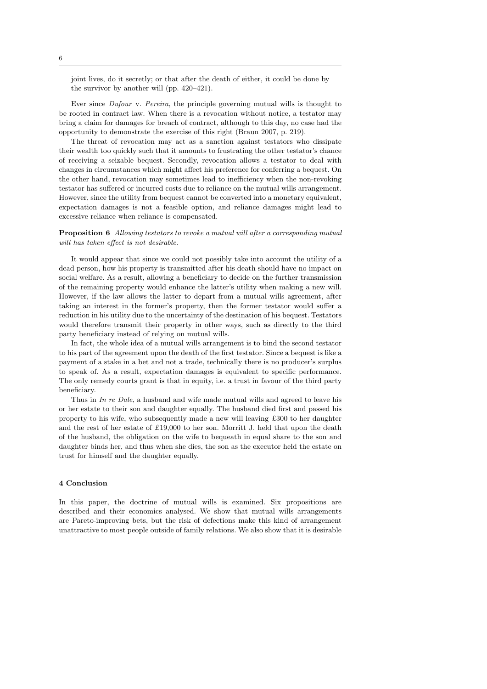joint lives, do it secretly; or that after the death of either, it could be done by the survivor by another will (pp. 420–421).

Ever since Dufour v. Pereira, the principle governing mutual wills is thought to be rooted in contract law. When there is a revocation without notice, a testator may bring a claim for damages for breach of contract, although to this day, no case had the opportunity to demonstrate the exercise of this right (Braun 2007, p. 219).

The threat of revocation may act as a sanction against testators who dissipate their wealth too quickly such that it amounts to frustrating the other testator's chance of receiving a seizable bequest. Secondly, revocation allows a testator to deal with changes in circumstances which might affect his preference for conferring a bequest. On the other hand, revocation may sometimes lead to inefficiency when the non-revoking testator has suffered or incurred costs due to reliance on the mutual wills arrangement. However, since the utility from bequest cannot be converted into a monetary equivalent, expectation damages is not a feasible option, and reliance damages might lead to excessive reliance when reliance is compensated.

Proposition 6 Allowing testators to revoke a mutual will after a corresponding mutual will has taken effect is not desirable.

It would appear that since we could not possibly take into account the utility of a dead person, how his property is transmitted after his death should have no impact on social welfare. As a result, allowing a beneficiary to decide on the further transmission of the remaining property would enhance the latter's utility when making a new will. However, if the law allows the latter to depart from a mutual wills agreement, after taking an interest in the former's property, then the former testator would suffer a reduction in his utility due to the uncertainty of the destination of his bequest. Testators would therefore transmit their property in other ways, such as directly to the third party beneficiary instead of relying on mutual wills.

In fact, the whole idea of a mutual wills arrangement is to bind the second testator to his part of the agreement upon the death of the first testator. Since a bequest is like a payment of a stake in a bet and not a trade, technically there is no producer's surplus to speak of. As a result, expectation damages is equivalent to specific performance. The only remedy courts grant is that in equity, i.e. a trust in favour of the third party beneficiary.

Thus in In re Dale, a husband and wife made mutual wills and agreed to leave his or her estate to their son and daughter equally. The husband died first and passed his property to his wife, who subsequently made a new will leaving £300 to her daughter and the rest of her estate of £19,000 to her son. Morritt J. held that upon the death of the husband, the obligation on the wife to bequeath in equal share to the son and daughter binds her, and thus when she dies, the son as the executor held the estate on trust for himself and the daughter equally.

#### 4 Conclusion

In this paper, the doctrine of mutual wills is examined. Six propositions are described and their economics analysed. We show that mutual wills arrangements are Pareto-improving bets, but the risk of defections make this kind of arrangement unattractive to most people outside of family relations. We also show that it is desirable